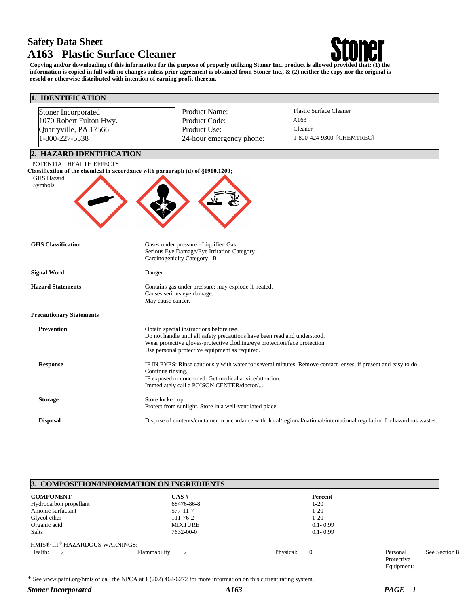# **Safety Data Sheet A163 Plastic Surface Cleaner**



**Copying and/or downloading of this information for the purpose of properly utilizing Stoner Inc. product is allowed provided that: (1) the information is copied in full with no changes unless prior agreement is obtained from Stoner Inc., & (2) neither the copy nor the original is resold or otherwise distributed with intention of earning profit thereon.**

| 1. IDENTIFICATION                                                                                                                          |                   |                                                                                                                                                                                                                                                      |                                                                                                                         |  |
|--------------------------------------------------------------------------------------------------------------------------------------------|-------------------|------------------------------------------------------------------------------------------------------------------------------------------------------------------------------------------------------------------------------------------------------|-------------------------------------------------------------------------------------------------------------------------|--|
| Stoner Incorporated                                                                                                                        |                   | Product Name:                                                                                                                                                                                                                                        | <b>Plastic Surface Cleaner</b>                                                                                          |  |
| 1070 Robert Fulton Hwy.                                                                                                                    |                   | Product Code:                                                                                                                                                                                                                                        | A163                                                                                                                    |  |
| Quarryville, PA 17566                                                                                                                      |                   | Product Use:                                                                                                                                                                                                                                         | Cleaner                                                                                                                 |  |
| 1-800-227-5538                                                                                                                             |                   | 24-hour emergency phone:                                                                                                                                                                                                                             | 1-800-424-9300 [CHEMTREC]                                                                                               |  |
| 2. HAZARD IDENTIFICATION                                                                                                                   |                   |                                                                                                                                                                                                                                                      |                                                                                                                         |  |
| POTENTIAL HEALTH EFFECTS<br>Classification of the chemical in accordance with paragraph (d) of §1910.1200;<br><b>GHS Hazard</b><br>Symbols |                   |                                                                                                                                                                                                                                                      |                                                                                                                         |  |
| <b>GHS</b> Classification                                                                                                                  |                   | Gases under pressure - Liquified Gas<br>Serious Eye Damage/Eye Irritation Category 1<br>Carcinogenicity Category 1B                                                                                                                                  |                                                                                                                         |  |
| <b>Signal Word</b>                                                                                                                         | Danger            |                                                                                                                                                                                                                                                      |                                                                                                                         |  |
| <b>Hazard Statements</b>                                                                                                                   |                   | Contains gas under pressure; may explode if heated.<br>Causes serious eye damage.<br>May cause cancer.                                                                                                                                               |                                                                                                                         |  |
| <b>Precautionary Statements</b>                                                                                                            |                   |                                                                                                                                                                                                                                                      |                                                                                                                         |  |
| <b>Prevention</b>                                                                                                                          |                   | Obtain special instructions before use.<br>Do not handle until all safety precautions have been read and understood.<br>Wear protective gloves/protective clothing/eye protection/face protection.<br>Use personal protective equipment as required. |                                                                                                                         |  |
| <b>Response</b>                                                                                                                            | Continue rinsing. | IF exposed or concerned: Get medical advice/attention.<br>Immediately call a POISON CENTER/doctor/                                                                                                                                                   | IF IN EYES: Rinse cautiously with water for several minutes. Remove contact lenses, if present and easy to do.          |  |
| <b>Storage</b>                                                                                                                             | Store locked up.  | Protect from sunlight. Store in a well-ventilated place.                                                                                                                                                                                             |                                                                                                                         |  |
| <b>Disposal</b>                                                                                                                            |                   |                                                                                                                                                                                                                                                      | Dispose of contents/container in accordance with local/regional/national/international regulation for hazardous wastes. |  |

# **3. COMPOSITION/INFORMATION ON INGREDIENTS**

| <b>COMPONENT</b>               | CAS#               | Percent               |                                      |               |
|--------------------------------|--------------------|-----------------------|--------------------------------------|---------------|
| Hydrocarbon propellant         | 68476-86-8         | $1-20$                |                                      |               |
| Anionic surfactant             | 577-11-7           | $1-20$                |                                      |               |
| Glycol ether                   | $111 - 76 - 2$     | $1-20$                |                                      |               |
| Organic acid                   | <b>MIXTURE</b>     | $0.1 - 0.99$          |                                      |               |
| <b>Salts</b>                   | 7632-00-0          | $0.1 - 0.99$          |                                      |               |
| HMIS® III* HAZARDOUS WARNINGS: |                    |                       |                                      |               |
| Health:<br>2                   | Flammability:<br>2 | Physical:<br>$\theta$ | Personal<br>Protective<br>Equipment: | See Section 8 |

\* See www.paint.org/hmis or call the NPCA at 1 (202) 462-6272 for more information on this current rating system.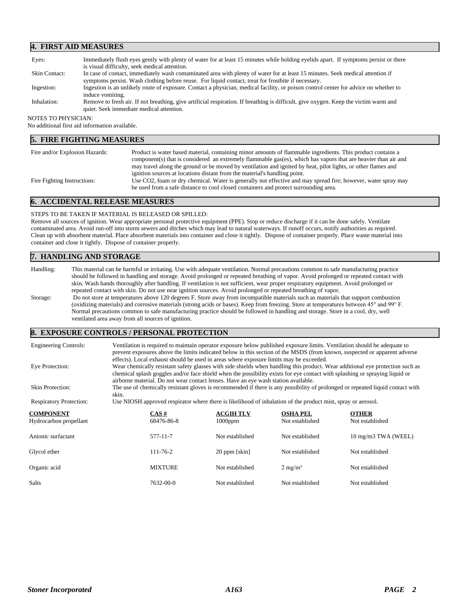### **4. FIRST AID MEASURES**

| Eyes:                | Immediately flush eyes gently with plenty of water for at least 15 minutes while holding eyelids apart. If symptoms persist or there                                             |
|----------------------|----------------------------------------------------------------------------------------------------------------------------------------------------------------------------------|
|                      | is visual difficulty, seek medical attention.                                                                                                                                    |
| <b>Skin Contact:</b> | In case of contact, immediately wash contaminated area with plenty of water for at least 15 minutes. Seek medical attention if                                                   |
|                      | symptoms persist. Wash clothing before reuse. For liquid contact, treat for frostbite if necessary.                                                                              |
| Ingestion:           | Ingestion is an unlikely route of exposure. Contact a physician, medical facility, or poison control center for advice on whether to                                             |
|                      | induce vomiting.                                                                                                                                                                 |
| Inhalation:          | Remove to fresh air. If not breathing, give artificial respiration. If breathing is difficult, give oxygen. Keep the victim warm and<br>quiet. Seek immediate medical attention. |

#### NOTES TO PHYSICIAN:

No additional first aid information available.

## **5. FIRE FIGHTING MEASURES**

| Fire and/or Explosion Hazards: | Product is water based material, containing minor amounts of flammable ingredients. This product contains a<br>component(s) that is considered an extremely flammable gas(es), which has vapors that are heavier than air and<br>may travel along the ground or be moved by ventilation and ignited by heat, pilot lights, or other flames and |
|--------------------------------|------------------------------------------------------------------------------------------------------------------------------------------------------------------------------------------------------------------------------------------------------------------------------------------------------------------------------------------------|
| Fire Fighting Instructions:    | ignition sources at locations distant from the material's handling point.<br>Use CO2, foam or dry chemical. Water is generally not effective and may spread fire; however, water spray may<br>be used from a safe distance to cool closed containers and protect surrounding area.                                                             |

#### **6. ACCIDENTAL RELEASE MEASURES**

#### STEPS TO BE TAKEN IF MATERIAL IS RELEASED OR SPILLED:

Remove all sources of ignition. Wear appropriate personal protective equipment (PPE). Stop or reduce discharge if it can be done safely. Ventilate contaminated area. Avoid run-off into storm sewers and ditches which may lead to natural waterways. If runoff occurs, notify authorities as required. Clean up with absorbent material. Place absorbent materials into container and close it tightly. Dispose of container properly. Place waste material into container and close it tightly. Dispose of container properly.

# **7. HANDLING AND STORAGE**

Handling: This material can be harmful or irritating. Use with adequate ventilation. Normal precautions common to safe manufacturing practice should be followed in handling and storage. Avoid prolonged or repeated breathing of vapor. Avoid prolonged or repeated contact with skin. Wash hands thoroughly after handling. If ventilation is not sufficient, wear proper respiratory equipment. Avoid prolonged or repeated contact with skin. Do not use near ignition sources. Avoid prolonged or repeated breathing of vapor. Storage: Do not store at temperatures above 120 degrees F. Store away from incompatible materials such as materials that support combustion (oxidizing materials) and corrosive materials (strong acids or bases). Keep from freezing. Store at temperatures between 45° and 99° F. Normal precautions common to safe manufacturing practice should be followed in handling and storage. Store in a cool, dry, well ventilated area away from all sources of ignition.

### **8. EXPOSURE CONTROLS / PERSONAL PROTECTION**

| <b>Engineering Controls:</b>               | Ventilation is required to maintain operator exposure below published exposure limits. Ventilation should be adequate to<br>prevent exposures above the limits indicated below in this section of the MSDS (from known, suspected or apparent adverse<br>effects). Local exhaust should be used in areas where exposure limits may be exceeded.    |                                |                                    |                                 |  |
|--------------------------------------------|----------------------------------------------------------------------------------------------------------------------------------------------------------------------------------------------------------------------------------------------------------------------------------------------------------------------------------------------------|--------------------------------|------------------------------------|---------------------------------|--|
| Eye Protection:                            | Wear chemically resistant safety glasses with side shields when handling this product. Wear additional eye protection such as<br>chemical splash goggles and/or face shield when the possibility exists for eye contact with splashing or spraying liquid or<br>airborne material. Do not wear contact lenses. Have an eye wash station available. |                                |                                    |                                 |  |
| <b>Skin Protection:</b>                    | The use of chemically resistant gloves is recommended if there is any possibility of prolonged or repeated liquid contact with<br>skin.                                                                                                                                                                                                            |                                |                                    |                                 |  |
| <b>Respiratory Protection:</b>             | Use NIOSH approved respirator where there is likelihood of inhalation of the product mist, spray or aerosol.                                                                                                                                                                                                                                       |                                |                                    |                                 |  |
| <b>COMPONENT</b><br>Hydrocarbon propellant | CAS#<br>68476-86-8                                                                                                                                                                                                                                                                                                                                 | <b>ACGIH TLV</b><br>$1000$ ppm | <b>OSHA PEL</b><br>Not established | <b>OTHER</b><br>Not established |  |
| Anionic surfactant                         | 577-11-7                                                                                                                                                                                                                                                                                                                                           | Not established                | Not established                    | 10 mg/m3 TWA (WEEL)             |  |
| Glycol ether                               | $111 - 76 - 2$                                                                                                                                                                                                                                                                                                                                     | 20 ppm [skin]                  | Not established                    | Not established                 |  |
| Organic acid                               | <b>MIXTURE</b>                                                                                                                                                                                                                                                                                                                                     | Not established                | $2 \text{ mg/m}^3$                 | Not established                 |  |
| Salts                                      | 7632-00-0                                                                                                                                                                                                                                                                                                                                          | Not established                | Not established                    | Not established                 |  |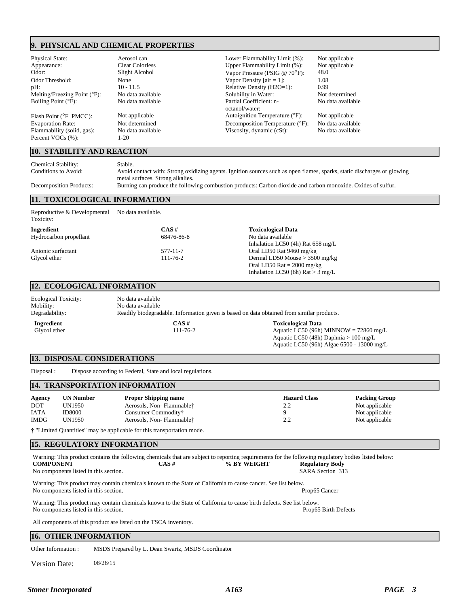# **9. PHYSICAL AND CHEMICAL PROPERTIES**

Boiling Point ( $\mathrm{P}$ ):

Percent VOCs (%):

# **10. STABILITY AND REACTION**

Physical State: Aerosol can Lower Flammability Limit (%): Not applicable<br>Appearance: Clear Colorless Upper Flammability Limit (%): Not applicable Upper Flammability Limit (%): Odor: Slight Alcohol Vapor Pressure (PSIG @ 70°F): 48.0<br>Odor Threshold: None None Vapor Density [air = 1]: 1.08 Odor Threshold: None None Vapor Density [air = 1]: 1.08<br>
pH: 10 - 11.5 Nelative Density (H2O=1): 0.99 pH: 10 - 11.5 Relative Density (H2O=1): Melting/Freezing Point (°F): No data available Solubility in Water: Not determined<br>Boiling Point (°F): No data available Partial Coefficient: n- No data availab octanol/water: Flash Point (°F PMCC): Not applicable Autoignition Temperature (°F): Not applicable Evaporation Rate: Not determined Decomposition Temperature (°F): No data available Decomposition Temperature (°F): Flammability (solid, gas): No data available Viscosity, dynamic (cSt): No data available<br>Percent VOCs (%): 1-20

No data available

Aquatic LC50 (96h) Algae 6500 - 13000 mg/L

Chemical Stability: Stable.

Conditions to Avoid: Avoid contact with: Strong oxidizing agents. Ignition sources such as open flames, sparks, static discharges or glowing metal surfaces. Strong alkalies. Decomposition Products: Burning can produce the following combustion products: Carbon dioxide and carbon monoxide. Oxides of sulfur.

# **11. TOXICOLOGICAL INFORMATION**

| Reproductive & Developmental<br>Toxicity: | No data available. |                                                    |  |
|-------------------------------------------|--------------------|----------------------------------------------------|--|
| Ingredient                                | $CAS \#$           | <b>Toxicological Data</b>                          |  |
| Hydrocarbon propellant                    | 68476-86-8         | No data available                                  |  |
|                                           |                    | Inhalation LC50 $(4h)$ Rat 658 mg/L                |  |
| Anionic surfactant                        | 577-11-7           | Oral LD50 Rat 9460 mg/kg                           |  |
| Glycol ether                              | $111 - 76 - 2$     | Dermal LD50 Mouse $>$ 3500 mg/kg                   |  |
|                                           |                    | Oral LD50 Rat $= 2000$ mg/kg                       |  |
|                                           |                    | Inhalation LC50 (6h) $\text{Rat} > 3 \text{ mg/L}$ |  |

#### **12. ECOLOGICAL INFORMATION**

| <b>Ecological Toxicity:</b><br>Mobility:<br>Degradability: | No data available<br>No data available<br>Readily biodegradable. Information given is based on data obtained from similar products. |                                                                                                                  |
|------------------------------------------------------------|-------------------------------------------------------------------------------------------------------------------------------------|------------------------------------------------------------------------------------------------------------------|
| Ingredient<br>Glycol ether                                 | CAS #<br>$111 - 76 - 2$                                                                                                             | <b>Toxicological Data</b><br>Aquatic LC50 (96h) MINNOW = $72860$ mg/L<br>Aquatic LC50 (48h) Daphnia $> 100$ mg/L |

### **13. DISPOSAL CONSIDERATIONS**

Disposal : Dispose according to Federal, State and local regulations.

### **14. TRANSPORTATION INFORMATION**

| Agency      | <b>UN Number</b> | <b>Proper Shipping name</b> | <b>Hazard Class</b> | <b>Packing Group</b> |
|-------------|------------------|-----------------------------|---------------------|----------------------|
| <b>DOT</b>  | UN1950           | Aerosols, Non-Flammable†    | 2.2                 | Not applicable       |
| <b>IATA</b> | <b>ID8000</b>    | Consumer Commodity†         |                     | Not applicable       |
| <b>IMDG</b> | UN1950           | Aerosols, Non-Flammable†    | 2.2                 | Not applicable       |

† "Limited Quantities" may be applicable for this transportation mode.

### **15. REGULATORY INFORMATION**

| Warning: This product contains the following chemicals that are subject to reporting requirements for the following regulatory bodies listed below: |          |             |                        |  |
|-----------------------------------------------------------------------------------------------------------------------------------------------------|----------|-------------|------------------------|--|
| <b>COMPONENT</b>                                                                                                                                    | $CAS \#$ | % BY WEIGHT | <b>Regulatory Body</b> |  |
| No components listed in this section.                                                                                                               |          |             | SARA Section 313       |  |
| Warning: This product may contain chemicals known to the State of California to cause cancer. See list below.                                       |          |             |                        |  |
| No components listed in this section.                                                                                                               |          |             | Prop65 Cancer          |  |
| Warning: This product may contain chemicals known to the State of California to cause birth defects. See list below.                                |          |             |                        |  |
| No components listed in this section.                                                                                                               |          |             | Prop65 Birth Defects   |  |
| All components of this product are listed on the TSCA inventory.                                                                                    |          |             |                        |  |

# **16. OTHER INFORMATION**

Other Information : MSDS Prepared by L. Dean Swartz, MSDS Coordinator

Version Date: 08/26/15